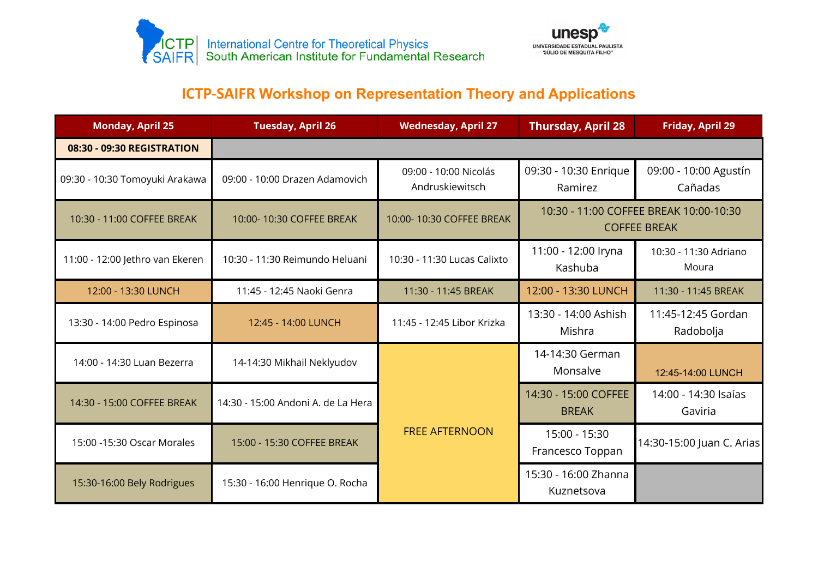



## **ICTP-SAIFR Workshop on Representation Theory and Applications**

| <b>Monday, April 25</b>         | <b>Tuesday, April 26</b>           | <b>Wednesday, April 27</b>               | <b>Thursday, April 28</b>                                     | <b>Friday, April 29</b>          |  |
|---------------------------------|------------------------------------|------------------------------------------|---------------------------------------------------------------|----------------------------------|--|
| 08:30 - 09:30 REGISTRATION      |                                    |                                          |                                                               |                                  |  |
| 09:30 - 10:30 Tomoyuki Arakawa  | 09:00 - 10:00 Drazen Adamovich     | 09:00 - 10:00 Nicolás<br>Andruskiewitsch | 09:30 - 10:30 Enrique<br>Ramirez                              | 09:00 - 10:00 Agustín<br>Cañadas |  |
| 10:30 - 11:00 COFFEE BREAK      | 10:00-10:30 COFFEE BREAK           | 10:00-10:30 COFFEE BREAK                 | 10:30 - 11:00 COFFEE BREAK 10:00-10:30<br><b>COFFEE BREAK</b> |                                  |  |
| 11:00 - 12:00 Jethro van Ekeren | 10:30 - 11:30 Reimundo Heluani     | 10:30 - 11:30 Lucas Calixto              | 11:00 - 12:00 Iryna<br>Kashuba                                | 10:30 - 11:30 Adriano<br>Moura   |  |
| 12:00 - 13:30 LUNCH             | 11:45 - 12:45 Naoki Genra          | 11:30 - 11:45 BREAK                      | 12:00 - 13:30 LUNCH                                           | 11:30 - 11:45 BREAK              |  |
| 13:30 - 14:00 Pedro Espinosa    | 12:45 - 14:00 LUNCH                | 11:45 - 12:45 Libor Krizka               | 13:30 - 14:00 Ashish<br>Mishra                                | 11:45-12:45 Gordan<br>Radobolja  |  |
| 14:00 - 14:30 Luan Bezerra      | 14-14:30 Mikhail Neklyudov         | <b>FREE AFTERNOON</b>                    | 14-14:30 German<br>Monsalve                                   | 12:45-14:00 LUNCH                |  |
| 14:30 - 15:00 COFFEE BREAK      | 14:30 - 15:00 Andoni A, de La Hera |                                          | 14:30 - 15:00 COFFEE<br><b>BREAK</b>                          | 14:00 - 14:30 Isaías<br>Gaviria  |  |
| 15:00 -15:30 Oscar Morales      | 15:00 - 15:30 COFFEE BREAK         |                                          | 15:00 - 15:30<br>Francesco Toppan                             | 14:30-15:00 Juan C. Arias        |  |
| 15:30-16:00 Bely Rodrigues      | 15:30 - 16:00 Henrique O. Rocha    |                                          | 15:30 - 16:00 Zhanna<br>Kuznetsova                            |                                  |  |